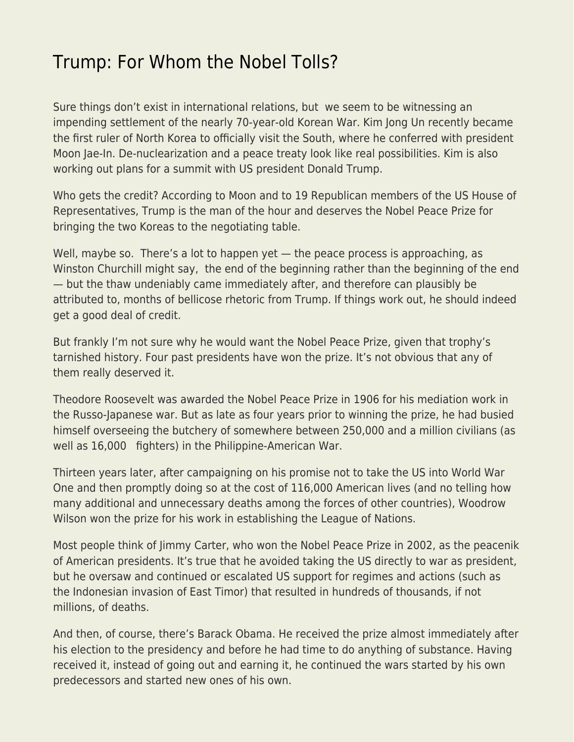## [Trump: For Whom the Nobel Tolls?](https://everything-voluntary.com/trump-for-whom-the-nobel-tolls)

Sure things don't exist in international relations, but we seem to be witnessing an impending settlement of the nearly 70-year-old Korean War. Kim Jong Un recently became the first ruler of North Korea to officially visit the South, where he conferred with president Moon Jae-In. De-nuclearization and a peace treaty look like real possibilities. Kim is also working out plans for a summit with US president Donald Trump.

Who gets the credit? According to Moon and to 19 Republican members of the US House of Representatives, Trump is the man of the hour and deserves the Nobel Peace Prize for bringing the two Koreas to the negotiating table.

Well, maybe so. There's a lot to happen yet — the peace process is approaching, as Winston Churchill might say, the end of the beginning rather than the beginning of the end — but the thaw undeniably came immediately after, and therefore can plausibly be attributed to, months of bellicose rhetoric from Trump. If things work out, he should indeed get a good deal of credit.

But frankly I'm not sure why he would want the Nobel Peace Prize, given that trophy's tarnished history. Four past presidents have won the prize. It's not obvious that any of them really deserved it.

Theodore Roosevelt was awarded the Nobel Peace Prize in 1906 for his mediation work in the Russo-Japanese war. But as late as four years prior to winning the prize, he had busied himself overseeing the butchery of somewhere between 250,000 and a million civilians (as well as 16,000 fighters) in the Philippine-American War.

Thirteen years later, after campaigning on his promise not to take the US into World War One and then promptly doing so at the cost of 116,000 American lives (and no telling how many additional and unnecessary deaths among the forces of other countries), Woodrow Wilson won the prize for his work in establishing the League of Nations.

Most people think of Jimmy Carter, who won the Nobel Peace Prize in 2002, as the peacenik of American presidents. It's true that he avoided taking the US directly to war as president, but he oversaw and continued or escalated US support for regimes and actions (such as the Indonesian invasion of East Timor) that resulted in hundreds of thousands, if not millions, of deaths.

And then, of course, there's Barack Obama. He received the prize almost immediately after his election to the presidency and before he had time to do anything of substance. Having received it, instead of going out and earning it, he continued the wars started by his own predecessors and started new ones of his own.